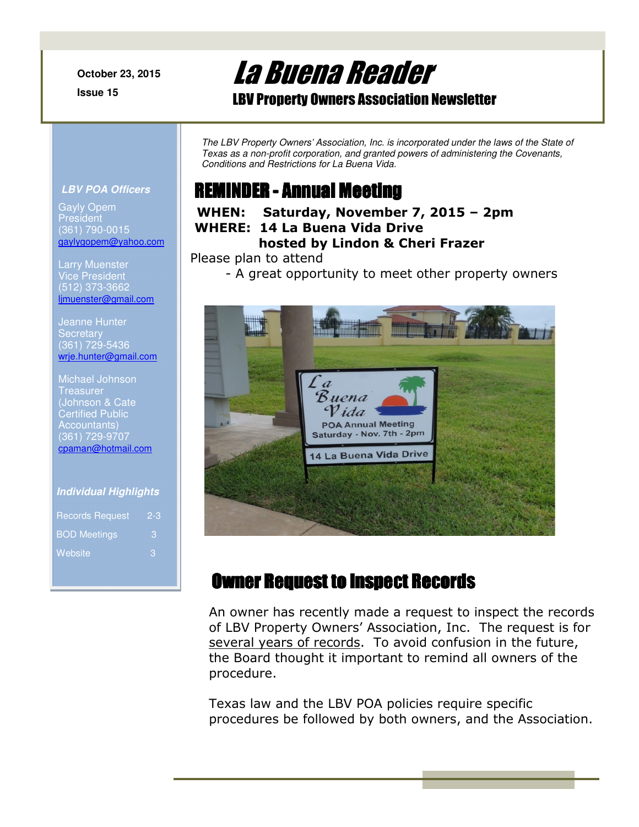**October 23, 2015**

**Issue 15** 

# La Buena Reader

### LBV Property Owners Association Newsletter

*The LBV Property Owners' Association, Inc. is incorporated under the laws of the State of Texas as a non-profit corporation, and granted powers of administering the Covenants, Conditions and Restrictions for La Buena Vida.* 

# REMINDER - Annual Meeting

#### **WHEN: Saturday, November 7, 2015 – 2pm WHERE: 14 La Buena Vida Drive hosted by Lindon & Cheri Frazer**

Please plan to attend

- A great opportunity to meet other property owners



# Owner Request to Inspect Records

An owner has recently made a request to inspect the records of LBV Property Owners' Association, Inc. The request is for several years of records. To avoid confusion in the future, the Board thought it important to remind all owners of the procedure.

Texas law and the LBV POA policies require specific procedures be followed by both owners, and the Association.

#### **LBV POA Officers**

Gayly Opem **President** (361) 790-0015 gaylygopem@yahoo.com

Vice President (512) 373-3662 ljmuenster@gmail.com

Jeanne Hunter **Secretary** (361) 729-5436 wrje.hunter@gmail.com

Michael Johnson Treasurer (Johnson & Cate Certified Public Accountants) (361) 729-9707 cpaman@hotmail.com

#### **Individual Highlights**

| <b>Records Request</b> | $2 - 3$ |
|------------------------|---------|
| <b>BOD Meetings</b>    | З       |
| Website                | З       |
|                        |         |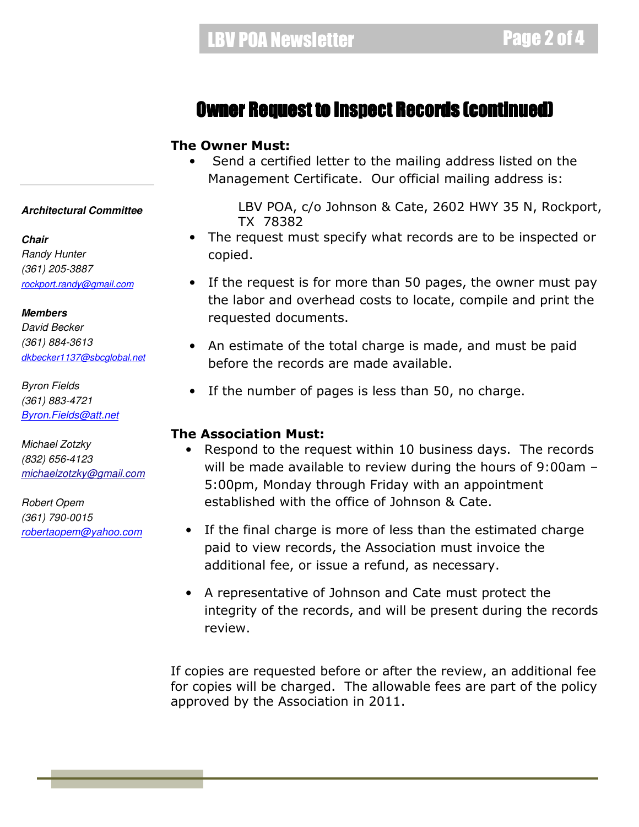### Owner Request to Inspect Records (continued)

#### **The Owner Must:**

• Send a certified letter to the mailing address listed on the Management Certificate. Our official mailing address is:

> LBV POA, c/o Johnson & Cate, 2602 HWY 35 N, Rockport, TX 78382

- The request must specify what records are to be inspected or copied.
- If the request is for more than 50 pages, the owner must pay the labor and overhead costs to locate, compile and print the requested documents.
- An estimate of the total charge is made, and must be paid before the records are made available.
- If the number of pages is less than 50, no charge.

#### **The Association Must:**

- Respond to the request within 10 business days. The records will be made available to review during the hours of 9:00am – 5:00pm, Monday through Friday with an appointment established with the office of Johnson & Cate.
- If the final charge is more of less than the estimated charge paid to view records, the Association must invoice the additional fee, or issue a refund, as necessary.
- A representative of Johnson and Cate must protect the integrity of the records, and will be present during the records review.

If copies are requested before or after the review, an additional fee for copies will be charged. The allowable fees are part of the policy approved by the Association in 2011.

#### **Architectural Committee**

**Chair**  *Randy Hunter (361) 205-3887 rockport.randy@gmail.com*

**Members**  *David Becker (361) 884-3613 dkbecker1137@sbcglobal.net*

*Byron Fields (361) 883-4721 Byron.Fields@att.net*

*Michael Zotzky (832) 656-4123 michaelzotzky@gmail.com* 

*Robert Opem (361) 790-0015 robertaopem@yahoo.com*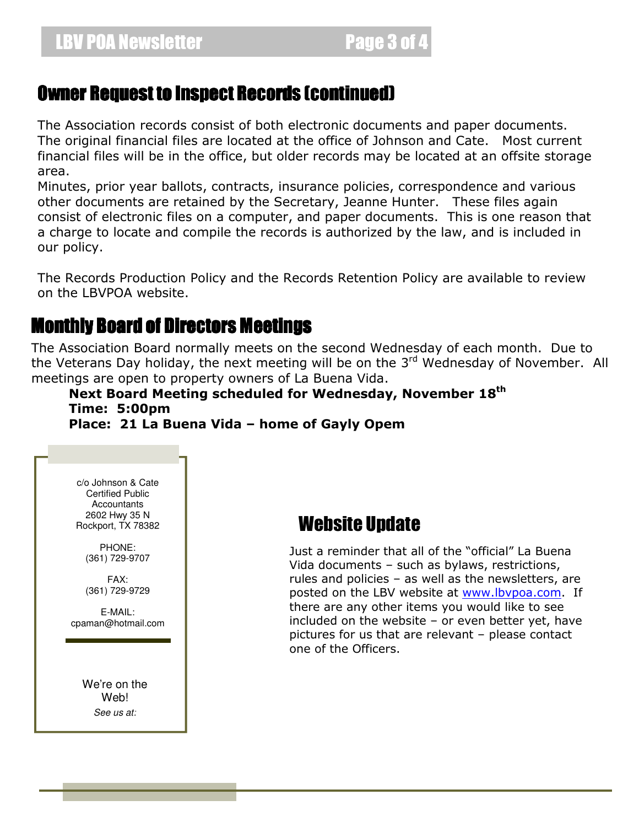### Owner Request to Inspect Records (continued)

The Association records consist of both electronic documents and paper documents. The original financial files are located at the office of Johnson and Cate. Most current financial files will be in the office, but older records may be located at an offsite storage area.

Minutes, prior year ballots, contracts, insurance policies, correspondence and various other documents are retained by the Secretary, Jeanne Hunter. These files again consist of electronic files on a computer, and paper documents. This is one reason that a charge to locate and compile the records is authorized by the law, and is included in our policy.

The Records Production Policy and the Records Retention Policy are available to review on the LBVPOA website.

### Monthly Board of Directors Meetings

The Association Board normally meets on the second Wednesday of each month. Due to the Veterans Day holiday, the next meeting will be on the 3<sup>rd</sup> Wednesday of November. All meetings are open to property owners of La Buena Vida.

#### **Next Board Meeting scheduled for Wednesday, November 18th Time: 5:00pm Place: 21 La Buena Vida – home of Gayly Opem**

c/o Johnson & Cate Certified Public Accountants 2602 Hwy 35 N Rockport, TX 78382

PHONE: (361) 729-9707

FAX: (361) 729-9729

E-MAIL: cpaman@hotmail.com

> We're on the Web! *See us at:*

## Website Update

Just a reminder that all of the "official" La Buena Vida documents – such as bylaws, restrictions, rules and policies – as well as the newsletters, are posted on the LBV website at www.lbvpoa.com. If there are any other items you would like to see included on the website – or even better yet, have pictures for us that are relevant – please contact one of the Officers.